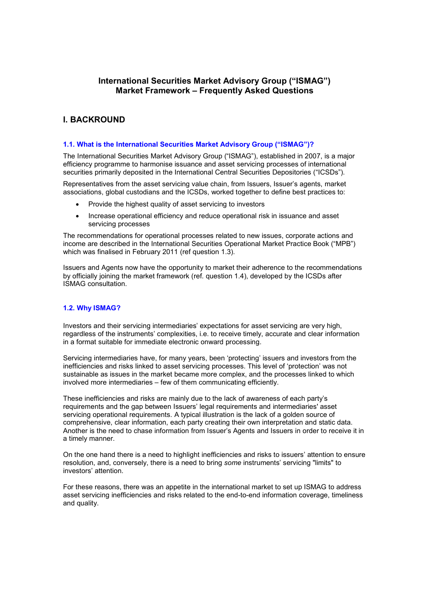# **International Securities Market Advisory Group ("ISMAG") Market Framework – Frequently Asked Questions**

# **I. BACKROUND**

## **1.1. What is the International Securities Market Advisory Group ("ISMAG")?**

The International Securities Market Advisory Group ("ISMAG"), established in 2007, is a major efficiency programme to harmonise issuance and asset servicing processes of international securities primarily deposited in the International Central Securities Depositories ("ICSDs").

Representatives from the asset servicing value chain, from Issuers, Issuer's agents, market associations, global custodians and the ICSDs, worked together to define best practices to:

- Provide the highest quality of asset servicing to investors
- · Increase operational efficiency and reduce operational risk in issuance and asset servicing processes

The recommendations for operational processes related to new issues, corporate actions and income are described in the International Securities Operational Market Practice Book ("MPB") which was finalised in February 2011 (ref question 1.3).

Issuers and Agents now have the opportunity to market their adherence to the recommendations by officially joining the market framework (ref. question 1.4), developed by the ICSDs after ISMAG consultation.

# **1.2. Why ISMAG?**

Investors and their servicing intermediaries' expectations for asset servicing are very high, regardless of the instruments' complexities, i.e. to receive timely, accurate and clear information in a format suitable for immediate electronic onward processing.

Servicing intermediaries have, for many years, been 'protecting' issuers and investors from the inefficiencies and risks linked to asset servicing processes. This level of 'protection' was not sustainable as issues in the market became more complex, and the processes linked to which involved more intermediaries – few of them communicating efficiently.

These inefficiencies and risks are mainly due to the lack of awareness of each party's requirements and the gap between Issuers' legal requirements and intermediaries' asset servicing operational requirements. A typical illustration is the lack of a golden source of comprehensive, clear information, each party creating their own interpretation and static data. Another is the need to chase information from Issuer's Agents and Issuers in order to receive it in a timely manner.

On the one hand there is a need to highlight inefficiencies and risks to issuers' attention to ensure resolution, and, conversely, there is a need to bring *some* instruments' servicing "limits" to investors' attention.

For these reasons, there was an appetite in the international market to set up ISMAG to address asset servicing inefficiencies and risks related to the end-to-end information coverage, timeliness and quality.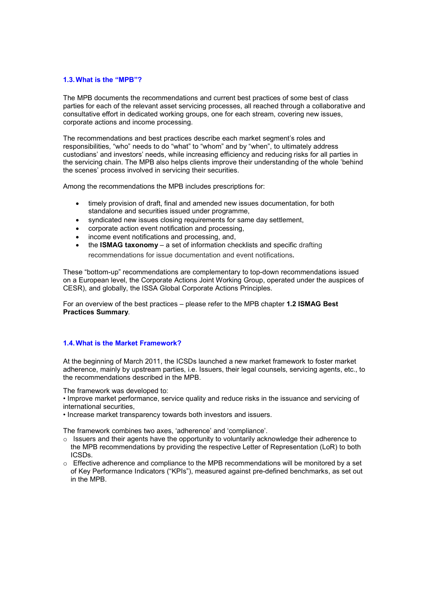## **1.3.What is the "MPB"?**

The MPB documents the recommendations and current best practices of some best of class parties for each of the relevant asset servicing processes, all reached through a collaborative and consultative effort in dedicated working groups, one for each stream, covering new issues, corporate actions and income processing.

The recommendations and best practices describe each market segment's roles and responsibilities, "who" needs to do "what" to "whom" and by "when", to ultimately address custodians' and investors' needs, while increasing efficiency and reducing risks for all parties in the servicing chain. The MPB also helps clients improve their understanding of the whole 'behind the scenes' process involved in servicing their securities.

Among the recommendations the MPB includes prescriptions for:

- · timely provision of draft, final and amended new issues documentation, for both standalone and securities issued under programme,
- · syndicated new issues closing requirements for same day settlement,
- · corporate action event notification and processing,
- · income event notifications and processing, and,
- · the **ISMAG taxonomy** a set of information checklists and specific drafting recommendations for issue documentation and event notifications.

These "bottom-up" recommendations are complementary to top-down recommendations issued on a European level, the Corporate Actions Joint Working Group, operated under the auspices of CESR), and globally, the ISSA Global Corporate Actions Principles.

For an overview of the best practices – please refer to the MPB chapter **1.2 ISMAG Best Practices Summary**.

# **1.4.What is the Market Framework?**

At the beginning of March 2011, the ICSDs launched a new market framework to foster market adherence, mainly by upstream parties, i.e. Issuers, their legal counsels, servicing agents, etc., to the recommendations described in the MPB.

The framework was developed to:

• Improve market performance, service quality and reduce risks in the issuance and servicing of international securities,

• Increase market transparency towards both investors and issuers.

The framework combines two axes, 'adherence' and 'compliance'.

- $\circ$  Issuers and their agents have the opportunity to voluntarily acknowledge their adherence to the MPB recommendations by providing the respective Letter of Representation (LoR) to both ICSDs.
- $\circ$  Effective adherence and compliance to the MPB recommendations will be monitored by a set of Key Performance Indicators ("KPIs"), measured against pre-defined benchmarks, as set out in the MPB.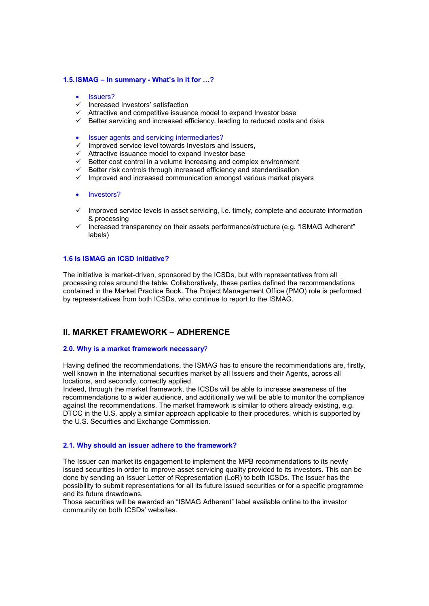## **1.5.ISMAG – In summary - What's in it for …?**

- **Issuers?**
- $\checkmark$  Increased Investors' satisfaction
- $\checkmark$  Attractive and competitive issuance model to expand Investor base
- $\checkmark$  Better servicing and increased efficiency, leading to reduced costs and risks
- · Issuer agents and servicing intermediaries?
- $\checkmark$  Improved service level towards Investors and Issuers,
- $\checkmark$  Attractive issuance model to expand Investor base
- $\checkmark$  Better cost control in a volume increasing and complex environment
- $\checkmark$  Better risk controls through increased efficiency and standardisation
- $\checkmark$  Improved and increased communication amongst various market players

## · Investors?

- $\checkmark$  Improved service levels in asset servicing, i.e. timely, complete and accurate information & processing
- $\checkmark$  Increased transparency on their assets performance/structure (e.g. "ISMAG Adherent" labels)

#### **1.6 Is ISMAG an ICSD initiative?**

The initiative is market-driven, sponsored by the ICSDs, but with representatives from all processing roles around the table. Collaboratively, these parties defined the recommendations contained in the Market Practice Book. The Project Management Office (PMO) role is performed by representatives from both ICSDs, who continue to report to the ISMAG.

# **II. MARKET FRAMEWORK – ADHERENCE**

#### **2.0. Why is a market framework necessary**?

Having defined the recommendations, the ISMAG has to ensure the recommendations are, firstly, well known in the international securities market by all Issuers and their Agents, across all locations, and secondly, correctly applied.

Indeed, through the market framework, the ICSDs will be able to increase awareness of the recommendations to a wider audience, and additionally we will be able to monitor the compliance against the recommendations. The market framework is similar to others already existing, e.g. DTCC in the U.S. apply a similar approach applicable to their procedures, which is supported by the U.S. Securities and Exchange Commission.

# **2.1. Why should an issuer adhere to the framework?**

The Issuer can market its engagement to implement the MPB recommendations to its newly issued securities in order to improve asset servicing quality provided to its investors. This can be done by sending an Issuer Letter of Representation (LoR) to both ICSDs. The Issuer has the possibility to submit representations for all its future issued securities or for a specific programme and its future drawdowns.

Those securities will be awarded an "ISMAG Adherent" label available online to the investor community on both ICSDs' websites.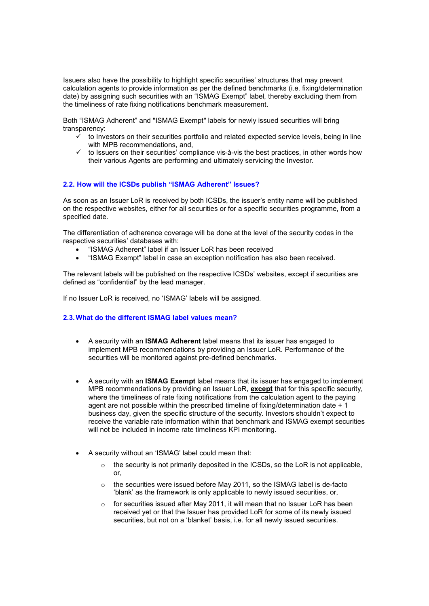Issuers also have the possibility to highlight specific securities' structures that may prevent calculation agents to provide information as per the defined benchmarks (i.e. fixing/determination date) by assigning such securities with an "ISMAG Exempt" label, thereby excluding them from the timeliness of rate fixing notifications benchmark measurement.

Both "ISMAG Adherent" and "ISMAG Exempt" labels for newly issued securities will bring transparency:

- $\checkmark$  to Investors on their securities portfolio and related expected service levels, being in line with MPB recommendations, and,
- $\checkmark$  to Issuers on their securities' compliance vis-à-vis the best practices, in other words how their various Agents are performing and ultimately servicing the Investor.

# **2.2. How will the ICSDs publish "ISMAG Adherent" Issues?**

As soon as an Issuer LoR is received by both ICSDs, the issuer's entity name will be published on the respective websites, either for all securities or for a specific securities programme, from a specified date.

The differentiation of adherence coverage will be done at the level of the security codes in the respective securities' databases with:

- · "ISMAG Adherent" label if an Issuer LoR has been received
- · "ISMAG Exempt" label in case an exception notification has also been received.

The relevant labels will be published on the respective ICSDs' websites, except if securities are defined as "confidential" by the lead manager.

If no Issuer LoR is received, no 'ISMAG' labels will be assigned.

# **2.3.What do the different ISMAG label values mean?**

- · A security with an **ISMAG Adherent** label means that its issuer has engaged to implement MPB recommendations by providing an Issuer LoR. Performance of the securities will be monitored against pre-defined benchmarks.
- · A security with an **ISMAG Exempt** label means that its issuer has engaged to implement MPB recommendations by providing an Issuer LoR, **except** that for this specific security, where the timeliness of rate fixing notifications from the calculation agent to the paying agent are not possible within the prescribed timeline of fixing/determination date + 1 business day, given the specific structure of the security. Investors shouldn't expect to receive the variable rate information within that benchmark and ISMAG exempt securities will not be included in income rate timeliness KPI monitoring.
- · A security without an 'ISMAG' label could mean that:
	- $\circ$  the security is not primarily deposited in the ICSDs, so the LoR is not applicable, or,
	- o the securities were issued before May 2011, so the ISMAG label is de-facto 'blank' as the framework is only applicable to newly issued securities, or,
	- o for securities issued after May 2011, it will mean that no Issuer LoR has been received yet or that the Issuer has provided LoR for some of its newly issued securities, but not on a 'blanket' basis, i.e. for all newly issued securities.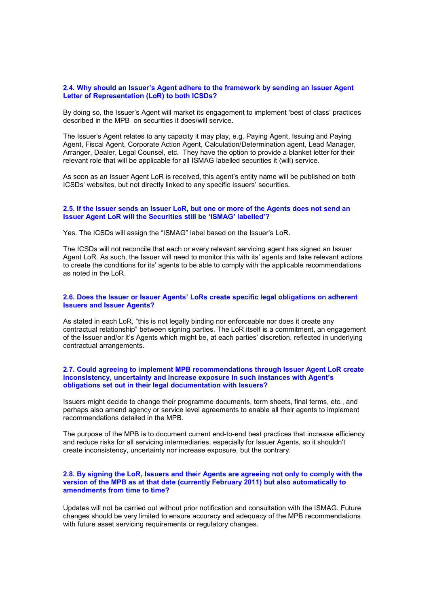### **2.4. Why should an Issuer's Agent adhere to the framework by sending an Issuer Agent Letter of Representation (LoR) to both ICSDs?**

By doing so, the Issuer's Agent will market its engagement to implement 'best of class' practices described in the MPB on securities it does/will service.

The Issuer's Agent relates to any capacity it may play, e.g. Paying Agent, Issuing and Paying Agent, Fiscal Agent, Corporate Action Agent, Calculation/Determination agent, Lead Manager, Arranger, Dealer, Legal Counsel, etc. They have the option to provide a blanket letter for their relevant role that will be applicable for all ISMAG labelled securities it (will) service.

As soon as an Issuer Agent LoR is received, this agent's entity name will be published on both ICSDs' websites, but not directly linked to any specific Issuers' securities.

# **2.5. If the Issuer sends an Issuer LoR, but one or more of the Agents does not send an Issuer Agent LoR will the Securities still be 'ISMAG' labelled'?**

Yes. The ICSDs will assign the "ISMAG" label based on the Issuer's LoR.

The ICSDs will not reconcile that each or every relevant servicing agent has signed an Issuer Agent LoR. As such, the Issuer will need to monitor this with its' agents and take relevant actions to create the conditions for its' agents to be able to comply with the applicable recommendations as noted in the LoR.

## **2.6. Does the Issuer or Issuer Agents' LoRs create specific legal obligations on adherent Issuers and Issuer Agents?**

As stated in each LoR, "this is not legally binding nor enforceable nor does it create any contractual relationship" between signing parties. The LoR itself is a commitment, an engagement of the Issuer and/or it's Agents which might be, at each parties' discretion, reflected in underlying contractual arrangements.

## **2.7. Could agreeing to implement MPB recommendations through Issuer Agent LoR create inconsistency, uncertainty and increase exposure in such instances with Agent's obligations set out in their legal documentation with Issuers?**

Issuers might decide to change their programme documents, term sheets, final terms, etc., and perhaps also amend agency or service level agreements to enable all their agents to implement recommendations detailed in the MPB.

The purpose of the MPB is to document current end-to-end best practices that increase efficiency and reduce risks for all servicing intermediaries, especially for Issuer Agents, so it shouldn't create inconsistency, uncertainty nor increase exposure, but the contrary.

## **2.8. By signing the LoR, Issuers and their Agents are agreeing not only to comply with the version of the MPB as at that date (currently February 2011) but also automatically to amendments from time to time?**

Updates will not be carried out without prior notification and consultation with the ISMAG. Future changes should be very limited to ensure accuracy and adequacy of the MPB recommendations with future asset servicing requirements or regulatory changes.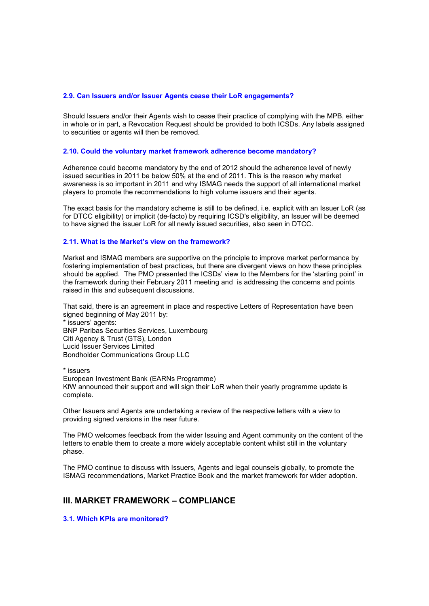#### **2.9. Can Issuers and/or Issuer Agents cease their LoR engagements?**

Should Issuers and/or their Agents wish to cease their practice of complying with the MPB, either in whole or in part, a Revocation Request should be provided to both ICSDs. Any labels assigned to securities or agents will then be removed.

### **2.10. Could the voluntary market framework adherence become mandatory?**

Adherence could become mandatory by the end of 2012 should the adherence level of newly issued securities in 2011 be below 50% at the end of 2011. This is the reason why market awareness is so important in 2011 and why ISMAG needs the support of all international market players to promote the recommendations to high volume issuers and their agents.

The exact basis for the mandatory scheme is still to be defined, i.e. explicit with an Issuer LoR (as for DTCC eligibility) or implicit (de-facto) by requiring ICSD's eligibility, an Issuer will be deemed to have signed the issuer LoR for all newly issued securities, also seen in DTCC.

### **2.11. What is the Market's view on the framework?**

Market and ISMAG members are supportive on the principle to improve market performance by fostering implementation of best practices, but there are divergent views on how these principles should be applied. The PMO presented the ICSDs' view to the Members for the 'starting point' in the framework during their February 2011 meeting and is addressing the concerns and points raised in this and subsequent discussions.

That said, there is an agreement in place and respective Letters of Representation have been signed beginning of May 2011 by:

\* issuers' agents: BNP Paribas Securities Services, Luxembourg Citi Agency & Trust (GTS), London Lucid Issuer Services Limited Bondholder Communications Group LLC

\* issuers European Investment Bank (EARNs Programme) KfW announced their support and will sign their LoR when their yearly programme update is complete.

Other Issuers and Agents are undertaking a review of the respective letters with a view to providing signed versions in the near future.

The PMO welcomes feedback from the wider Issuing and Agent community on the content of the letters to enable them to create a more widely acceptable content whilst still in the voluntary phase.

The PMO continue to discuss with Issuers, Agents and legal counsels globally, to promote the ISMAG recommendations, Market Practice Book and the market framework for wider adoption.

# **III. MARKET FRAMEWORK – COMPLIANCE**

**3.1. Which KPIs are monitored?**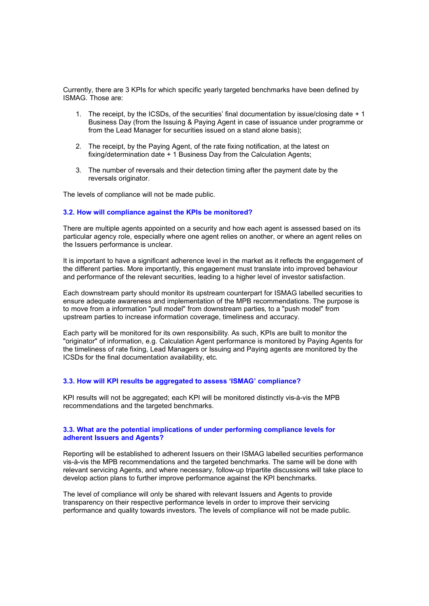Currently, there are 3 KPIs for which specific yearly targeted benchmarks have been defined by ISMAG. Those are:

- 1. The receipt, by the ICSDs, of the securities' final documentation by issue/closing date + 1 Business Day (from the Issuing & Paying Agent in case of issuance under programme or from the Lead Manager for securities issued on a stand alone basis);
- 2. The receipt, by the Paying Agent, of the rate fixing notification, at the latest on fixing/determination date + 1 Business Day from the Calculation Agents;
- 3. The number of reversals and their detection timing after the payment date by the reversals originator.

The levels of compliance will not be made public.

#### **3.2. How will compliance against the KPIs be monitored?**

There are multiple agents appointed on a security and how each agent is assessed based on its particular agency role, especially where one agent relies on another, or where an agent relies on the Issuers performance is unclear.

It is important to have a significant adherence level in the market as it reflects the engagement of the different parties. More importantly, this engagement must translate into improved behaviour and performance of the relevant securities, leading to a higher level of investor satisfaction.

Each downstream party should monitor its upstream counterpart for ISMAG labelled securities to ensure adequate awareness and implementation of the MPB recommendations. The purpose is to move from a information "pull model" from downstream parties, to a "push model" from upstream parties to increase information coverage, timeliness and accuracy.

Each party will be monitored for its own responsibility. As such, KPIs are built to monitor the "originator" of information, e.g. Calculation Agent performance is monitored by Paying Agents for the timeliness of rate fixing, Lead Managers or Issuing and Paying agents are monitored by the ICSDs for the final documentation availability, etc.

### **3.3. How will KPI results be aggregated to assess 'ISMAG' compliance?**

KPI results will not be aggregated; each KPI will be monitored distinctly vis-à-vis the MPB recommendations and the targeted benchmarks.

## **3.3. What are the potential implications of under performing compliance levels for adherent Issuers and Agents?**

Reporting will be established to adherent Issuers on their ISMAG labelled securities performance vis-à-vis the MPB recommendations and the targeted benchmarks. The same will be done with relevant servicing Agents, and where necessary, follow-up tripartite discussions will take place to develop action plans to further improve performance against the KPI benchmarks.

The level of compliance will only be shared with relevant Issuers and Agents to provide transparency on their respective performance levels in order to improve their servicing performance and quality towards investors. The levels of compliance will not be made public.